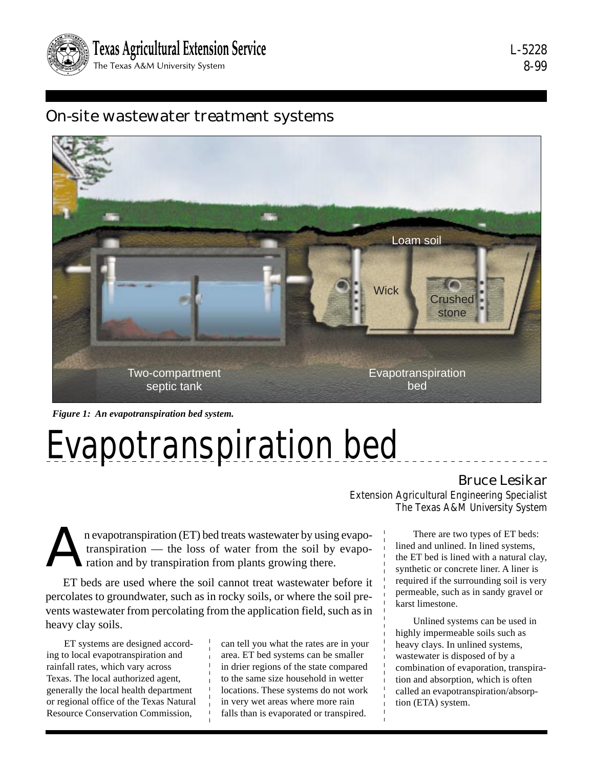

L-5228 8-99

# On-site wastewater treatment systems



*Figure 1: An evapotranspiration bed system.*

# Evapotranspiration bed

## Bruce Lesikar

Extension Agricultural Engineering Specialist The Texas A&M University System

karst limestone.

n evapotranspiration (ET) bed treats wastewater by using evapo-<br>transpiration — the loss of water from the soil by evapo-<br>ration and by transpiration from plants growing there. transpiration — the loss of water from the soil by evaporation and by transpiration from plants growing there.

ET beds are used where the soil cannot treat wastewater before it percolates to groundwater, such as in rocky soils, or where the soil prevents wastewater from percolating from the application field, such as in heavy clay soils.

ET systems are designed according to local evapotranspiration and rainfall rates, which vary across Texas. The local authorized agent, generally the local health department or regional office of the Texas Natural Resource Conservation Commission,

can tell you what the rates are in your area. ET bed systems can be smaller in drier regions of the state compared to the same size household in wetter locations. These systems do not work in very wet areas where more rain falls than is evaporated or transpired.

There are two types of ET beds: lined and unlined. In lined systems, the ET bed is lined with a natural clay, synthetic or concrete liner. A liner is required if the surrounding soil is very

permeable, such as in sandy gravel or

Unlined systems can be used in highly impermeable soils such as heavy clays. In unlined systems, wastewater is disposed of by a combination of evaporation, transpiration and absorption, which is often called an evapotranspiration/absorption (ETA) system.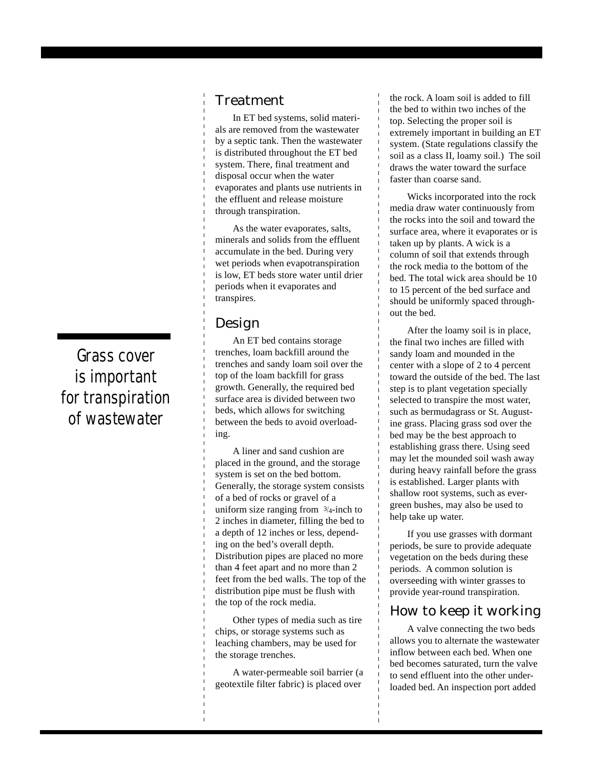## Treatment

In ET bed systems, solid materials are removed from the wastewater by a septic tank. Then the wastewater is distributed throughout the ET bed system. There, final treatment and disposal occur when the water evaporates and plants use nutrients in the effluent and release moisture through transpiration.

As the water evaporates, salts, minerals and solids from the effluent accumulate in the bed. During very wet periods when evapotranspiration is low, ET beds store water until drier periods when it evaporates and transpires.

#### Design

An ET bed contains storage trenches, loam backfill around the trenches and sandy loam soil over the top of the loam backfill for grass growth. Generally, the required bed surface area is divided between two beds, which allows for switching between the beds to avoid overloading.

A liner and sand cushion are placed in the ground, and the storage system is set on the bed bottom. Generally, the storage system consists of a bed of rocks or gravel of a uniform size ranging from  $\frac{3}{4}$ -inch to 2 inches in diameter, filling the bed to a depth of 12 inches or less, depending on the bed's overall depth. Distribution pipes are placed no more than 4 feet apart and no more than 2 feet from the bed walls. The top of the distribution pipe must be flush with the top of the rock media.

Other types of media such as tire chips, or storage systems such as leaching chambers, may be used for the storage trenches.

A water-permeable soil barrier (a geotextile filter fabric) is placed over

the rock. A loam soil is added to fill the bed to within two inches of the top. Selecting the proper soil is extremely important in building an ET system. (State regulations classify the soil as a class II, loamy soil.) The soil draws the water toward the surface faster than coarse sand.

Wicks incorporated into the rock media draw water continuously from the rocks into the soil and toward the surface area, where it evaporates or is taken up by plants. A wick is a column of soil that extends through the rock media to the bottom of the bed. The total wick area should be 10 to 15 percent of the bed surface and should be uniformly spaced throughout the bed.

After the loamy soil is in place, the final two inches are filled with sandy loam and mounded in the center with a slope of 2 to 4 percent toward the outside of the bed. The last step is to plant vegetation specially selected to transpire the most water, such as bermudagrass or St. Augustine grass. Placing grass sod over the bed may be the best approach to establishing grass there. Using seed may let the mounded soil wash away during heavy rainfall before the grass is established. Larger plants with shallow root systems, such as evergreen bushes, may also be used to help take up water.

If you use grasses with dormant periods, be sure to provide adequate vegetation on the beds during these periods. A common solution is overseeding with winter grasses to provide year-round transpiration.

## How to keep it working

A valve connecting the two beds allows you to alternate the wastewater inflow between each bed. When one bed becomes saturated, turn the valve to send effluent into the other underloaded bed. An inspection port added

# Grass cover is important for transpiration of wastewater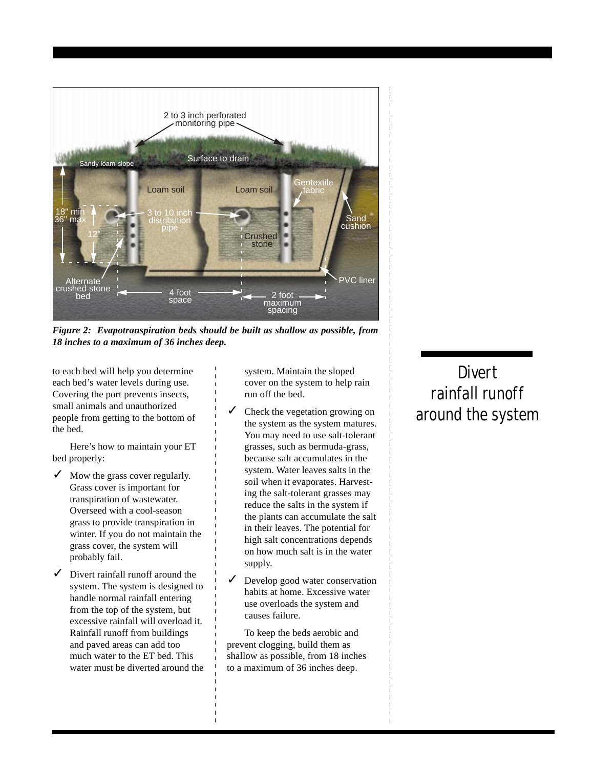

*Figure 2: Evapotranspiration beds should be built as shallow as possible, from 18 inches to a maximum of 36 inches deep.*

to each bed will help you determine each bed's water levels during use. Covering the port prevents insects, small animals and unauthorized people from getting to the bottom of the bed.

Here's how to maintain your ET bed properly:

- Mow the grass cover regularly. Grass cover is important for transpiration of wastewater. Overseed with a cool-season grass to provide transpiration in winter. If you do not maintain the grass cover, the system will probably fail.
- Divert rainfall runoff around the system. The system is designed to handle normal rainfall entering from the top of the system, but excessive rainfall will overload it. Rainfall runoff from buildings and paved areas can add too much water to the ET bed. This water must be diverted around the

system. Maintain the sloped cover on the system to help rain run off the bed.

- Check the vegetation growing on the system as the system matures. You may need to use salt-tolerant grasses, such as bermuda-grass, because salt accumulates in the system. Water leaves salts in the soil when it evaporates. Harvesting the salt-tolerant grasses may reduce the salts in the system if the plants can accumulate the salt in their leaves. The potential for high salt concentrations depends on how much salt is in the water supply.
- Develop good water conservation habits at home. Excessive water use overloads the system and causes failure.

To keep the beds aerobic and prevent clogging, build them as shallow as possible, from 18 inches to a maximum of 36 inches deep.

# **Divert** rainfall runoff around the system